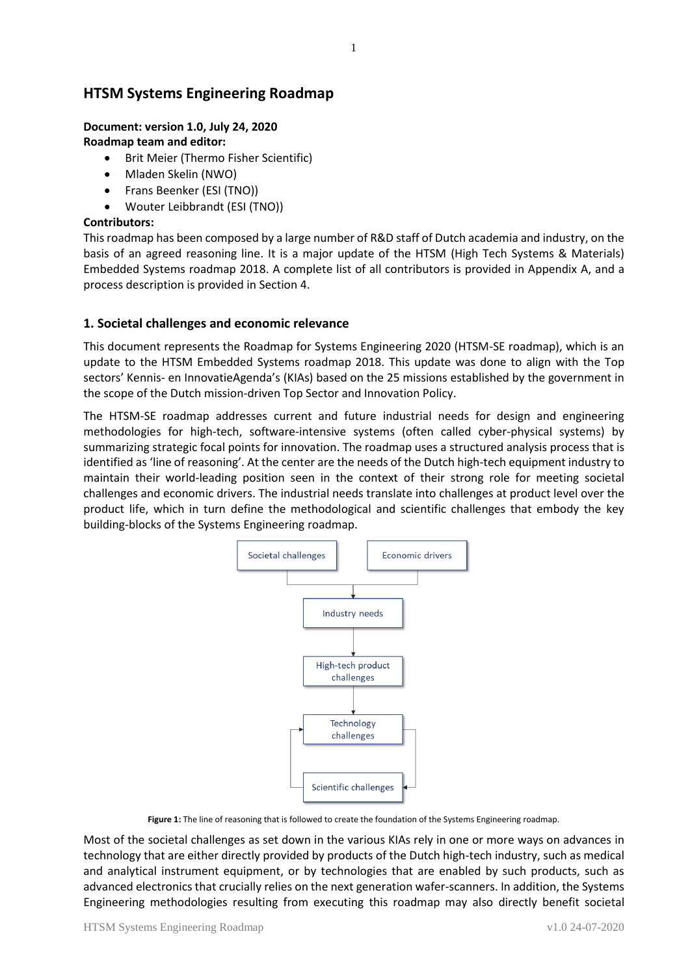# **HTSM Systems Engineering Roadmap**

### **Document: version 1.0, July 24, 2020 Roadmap team and editor:**

- Brit Meier (Thermo Fisher Scientific)
- Mladen Skelin (NWO)
- Frans Beenker (ESI (TNO))
- Wouter Leibbrandt (ESI (TNO))

### **Contributors:**

This roadmap has been composed by a large number of R&D staff of Dutch academia and industry, on the basis of an agreed reasoning line. It is a major update of the HTSM (High Tech Systems & Materials) Embedded Systems roadmap 2018. A complete list of all contributors is provided in Appendix A, and a process description is provided in Section 4.

### **1. Societal challenges and economic relevance**

This document represents the Roadmap for Systems Engineering 2020 (HTSM-SE roadmap), which is an update to the HTSM Embedded Systems roadmap 2018. This update was done to align with the Top sectors' Kennis- en InnovatieAgenda's (KIAs) based on the 25 missions established by the government in the scope of the Dutch mission-driven Top Sector and Innovation Policy.

The HTSM-SE roadmap addresses current and future industrial needs for design and engineering methodologies for high-tech, software-intensive systems (often called cyber-physical systems) by summarizing strategic focal points for innovation. The roadmap uses a structured analysis process that is identified as 'line of reasoning'. At the center are the needs of the Dutch high-tech equipment industry to maintain their world-leading position seen in the context of their strong role for meeting societal challenges and economic drivers. The industrial needs translate into challenges at product level over the product life, which in turn define the methodological and scientific challenges that embody the key building-blocks of the Systems Engineering roadmap.



**Figure 1:** The line of reasoning that is followed to create the foundation of the Systems Engineering roadmap.

Most of the societal challenges as set down in the various KIAs rely in one or more ways on advances in technology that are either directly provided by products of the Dutch high-tech industry, such as medical and analytical instrument equipment, or by technologies that are enabled by such products, such as advanced electronics that crucially relies on the next generation wafer-scanners. In addition, the Systems Engineering methodologies resulting from executing this roadmap may also directly benefit societal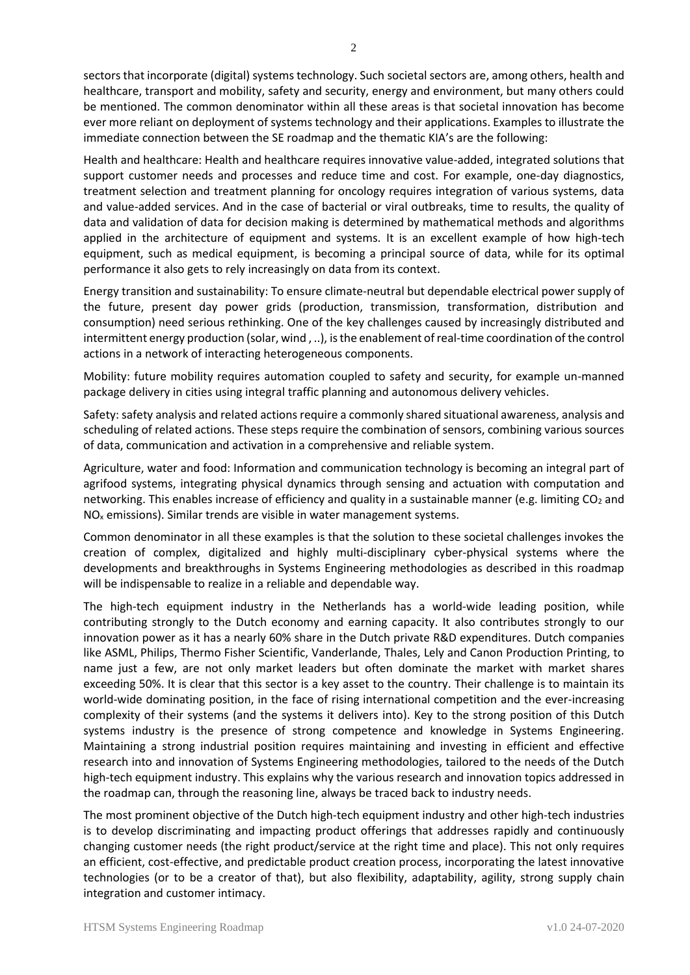sectors that incorporate (digital) systems technology. Such societal sectors are, among others, health and healthcare, transport and mobility, safety and security, energy and environment, but many others could be mentioned. The common denominator within all these areas is that societal innovation has become ever more reliant on deployment of systems technology and their applications. Examples to illustrate the immediate connection between the SE roadmap and the thematic KIA's are the following:

Health and healthcare: Health and healthcare requires innovative value-added, integrated solutions that support customer needs and processes and reduce time and cost. For example, one-day diagnostics, treatment selection and treatment planning for oncology requires integration of various systems, data and value-added services. And in the case of bacterial or viral outbreaks, time to results, the quality of data and validation of data for decision making is determined by mathematical methods and algorithms applied in the architecture of equipment and systems. It is an excellent example of how high-tech equipment, such as medical equipment, is becoming a principal source of data, while for its optimal performance it also gets to rely increasingly on data from its context.

Energy transition and sustainability: To ensure climate-neutral but dependable electrical power supply of the future, present day power grids (production, transmission, transformation, distribution and consumption) need serious rethinking. One of the key challenges caused by increasingly distributed and intermittent energy production (solar, wind , ..), is the enablement of real-time coordination of the control actions in a network of interacting heterogeneous components.

Mobility: future mobility requires automation coupled to safety and security, for example un-manned package delivery in cities using integral traffic planning and autonomous delivery vehicles.

Safety: safety analysis and related actions require a commonly shared situational awareness, analysis and scheduling of related actions. These steps require the combination of sensors, combining various sources of data, communication and activation in a comprehensive and reliable system.

Agriculture, water and food: Information and communication technology is becoming an integral part of agrifood systems, integrating physical dynamics through sensing and actuation with computation and networking. This enables increase of efficiency and quality in a sustainable manner (e.g. limiting  $CO<sub>2</sub>$  and  $NO<sub>x</sub>$  emissions). Similar trends are visible in water management systems.

Common denominator in all these examples is that the solution to these societal challenges invokes the creation of complex, digitalized and highly multi-disciplinary cyber-physical systems where the developments and breakthroughs in Systems Engineering methodologies as described in this roadmap will be indispensable to realize in a reliable and dependable way.

The high-tech equipment industry in the Netherlands has a world-wide leading position, while contributing strongly to the Dutch economy and earning capacity. It also contributes strongly to our innovation power as it has a nearly 60% share in the Dutch private R&D expenditures. Dutch companies like ASML, Philips, Thermo Fisher Scientific, Vanderlande, Thales, Lely and Canon Production Printing, to name just a few, are not only market leaders but often dominate the market with market shares exceeding 50%. It is clear that this sector is a key asset to the country. Their challenge is to maintain its world-wide dominating position, in the face of rising international competition and the ever-increasing complexity of their systems (and the systems it delivers into). Key to the strong position of this Dutch systems industry is the presence of strong competence and knowledge in Systems Engineering. Maintaining a strong industrial position requires maintaining and investing in efficient and effective research into and innovation of Systems Engineering methodologies, tailored to the needs of the Dutch high-tech equipment industry. This explains why the various research and innovation topics addressed in the roadmap can, through the reasoning line, always be traced back to industry needs.

The most prominent objective of the Dutch high-tech equipment industry and other high-tech industries is to develop discriminating and impacting product offerings that addresses rapidly and continuously changing customer needs (the right product/service at the right time and place). This not only requires an efficient, cost-effective, and predictable product creation process, incorporating the latest innovative technologies (or to be a creator of that), but also flexibility, adaptability, agility, strong supply chain integration and customer intimacy.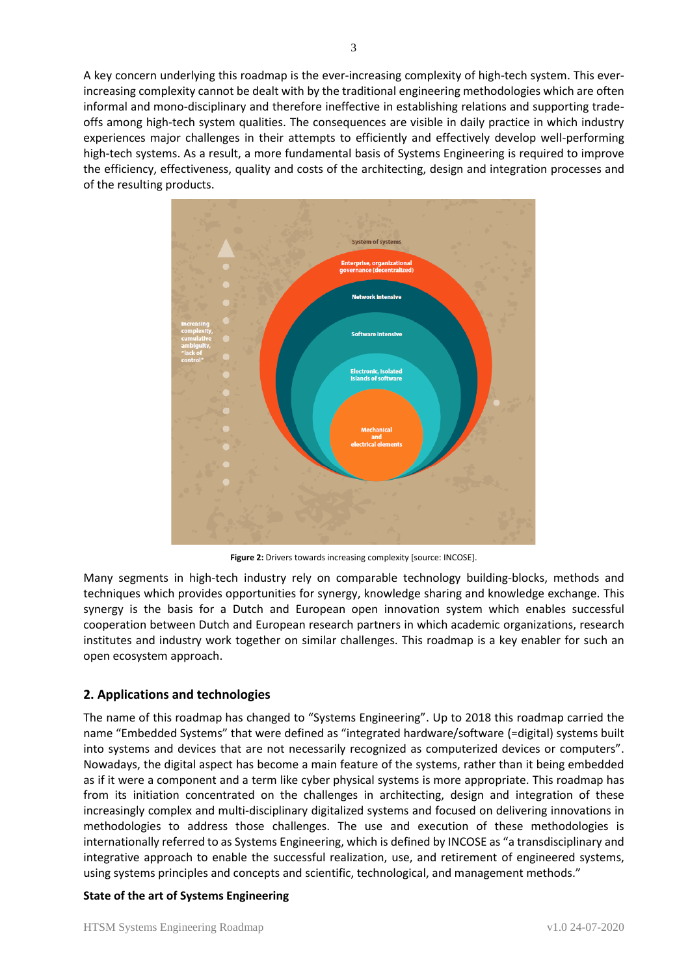

**Figure 2:** Drivers towards increasing complexity [source: INCOSE].

Many segments in high-tech industry rely on comparable technology building-blocks, methods and techniques which provides opportunities for synergy, knowledge sharing and knowledge exchange. This synergy is the basis for a Dutch and European open innovation system which enables successful cooperation between Dutch and European research partners in which academic organizations, research institutes and industry work together on similar challenges. This roadmap is a key enabler for such an open ecosystem approach.

# **2. Applications and technologies**

The name of this roadmap has changed to "Systems Engineering". Up to 2018 this roadmap carried the name "Embedded Systems" that were defined as "integrated hardware/software (=digital) systems built into systems and devices that are not necessarily recognized as computerized devices or computers". Nowadays, the digital aspect has become a main feature of the systems, rather than it being embedded as if it were a component and a term like cyber physical systems is more appropriate. This roadmap has from its initiation concentrated on the challenges in architecting, design and integration of these increasingly complex and multi-disciplinary digitalized systems and focused on delivering innovations in methodologies to address those challenges. The use and execution of these methodologies is internationally referred to as Systems Engineering, which is defined by INCOSE as "a transdisciplinary and integrative approach to enable the successful realization, use, and retirement of engineered systems, using systems principles and concepts and scientific, technological, and management methods."

### **State of the art of Systems Engineering**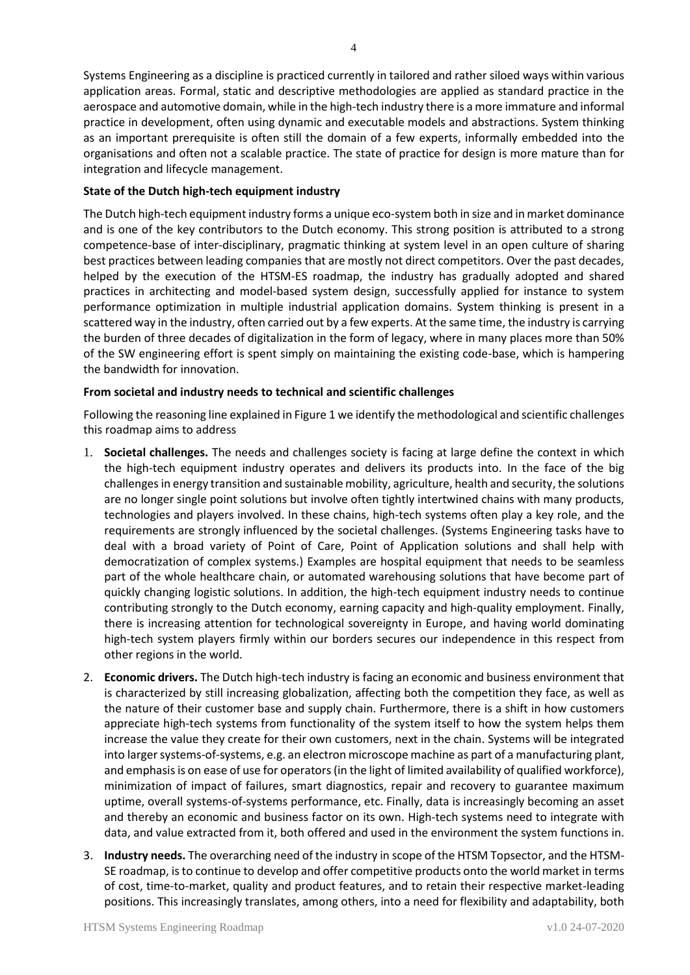Systems Engineering as a discipline is practiced currently in tailored and rather siloed ways within various application areas. Formal, static and descriptive methodologies are applied as standard practice in the aerospace and automotive domain, while in the high-tech industry there is a more immature and informal practice in development, often using dynamic and executable models and abstractions. System thinking as an important prerequisite is often still the domain of a few experts, informally embedded into the organisations and often not a scalable practice. The state of practice for design is more mature than for integration and lifecycle management.

### **State of the Dutch high-tech equipment industry**

The Dutch high-tech equipment industry forms a unique eco-system both in size and in market dominance and is one of the key contributors to the Dutch economy. This strong position is attributed to a strong competence-base of inter-disciplinary, pragmatic thinking at system level in an open culture of sharing best practices between leading companies that are mostly not direct competitors. Over the past decades, helped by the execution of the HTSM-ES roadmap, the industry has gradually adopted and shared practices in architecting and model-based system design, successfully applied for instance to system performance optimization in multiple industrial application domains. System thinking is present in a scattered way in the industry, often carried out by a few experts. At the same time, the industry is carrying the burden of three decades of digitalization in the form of legacy, where in many places more than 50% of the SW engineering effort is spent simply on maintaining the existing code-base, which is hampering the bandwidth for innovation.

### **From societal and industry needs to technical and scientific challenges**

Following the reasoning line explained in Figure 1 we identify the methodological and scientific challenges this roadmap aims to address

- 1. **Societal challenges.** The needs and challenges society is facing at large define the context in which the high-tech equipment industry operates and delivers its products into. In the face of the big challenges in energy transition and sustainable mobility, agriculture, health and security, the solutions are no longer single point solutions but involve often tightly intertwined chains with many products, technologies and players involved. In these chains, high-tech systems often play a key role, and the requirements are strongly influenced by the societal challenges. (Systems Engineering tasks have to deal with a broad variety of Point of Care, Point of Application solutions and shall help with democratization of complex systems.) Examples are hospital equipment that needs to be seamless part of the whole healthcare chain, or automated warehousing solutions that have become part of quickly changing logistic solutions. In addition, the high-tech equipment industry needs to continue contributing strongly to the Dutch economy, earning capacity and high-quality employment. Finally, there is increasing attention for technological sovereignty in Europe, and having world dominating high-tech system players firmly within our borders secures our independence in this respect from other regions in the world.
- 2. **Economic drivers.** The Dutch high-tech industry is facing an economic and business environment that is characterized by still increasing globalization, affecting both the competition they face, as well as the nature of their customer base and supply chain. Furthermore, there is a shift in how customers appreciate high-tech systems from functionality of the system itself to how the system helps them increase the value they create for their own customers, next in the chain. Systems will be integrated into larger systems-of-systems, e.g. an electron microscope machine as part of a manufacturing plant, and emphasis is on ease of use for operators (in the light of limited availability of qualified workforce), minimization of impact of failures, smart diagnostics, repair and recovery to guarantee maximum uptime, overall systems-of-systems performance, etc. Finally, data is increasingly becoming an asset and thereby an economic and business factor on its own. High-tech systems need to integrate with data, and value extracted from it, both offered and used in the environment the system functions in.
- 3. **Industry needs.** The overarching need of the industry in scope of the HTSM Topsector, and the HTSM-SE roadmap, isto continue to develop and offer competitive products onto the world market in terms of cost, time-to-market, quality and product features, and to retain their respective market-leading positions. This increasingly translates, among others, into a need for flexibility and adaptability, both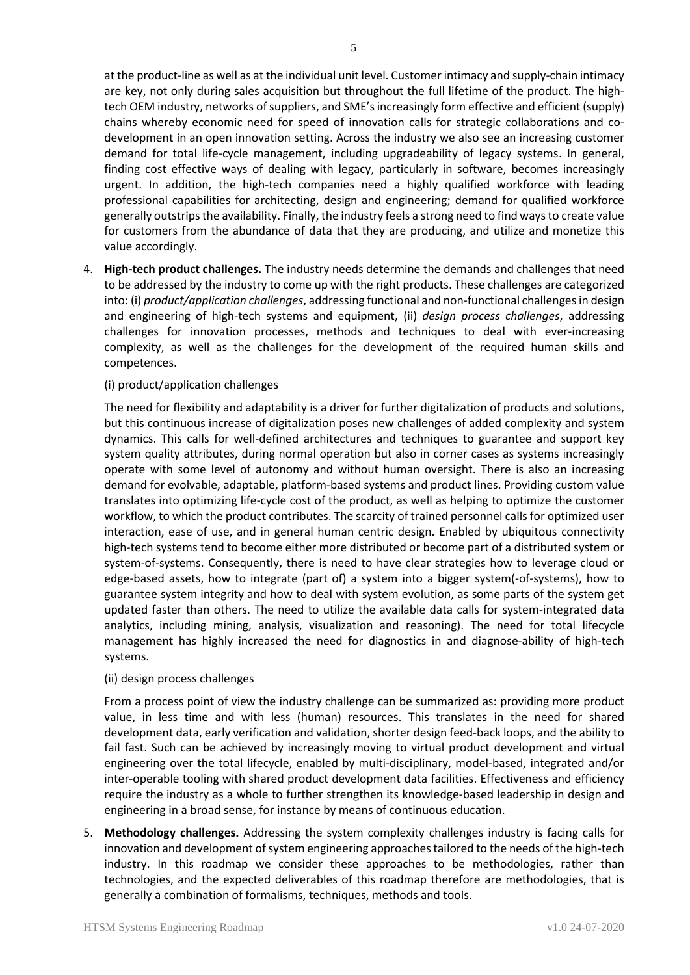at the product-line as well as at the individual unit level. Customer intimacy and supply-chain intimacy are key, not only during sales acquisition but throughout the full lifetime of the product. The hightech OEM industry, networks of suppliers, and SME's increasingly form effective and efficient (supply) chains whereby economic need for speed of innovation calls for strategic collaborations and codevelopment in an open innovation setting. Across the industry we also see an increasing customer demand for total life-cycle management, including upgradeability of legacy systems. In general, finding cost effective ways of dealing with legacy, particularly in software, becomes increasingly urgent. In addition, the high-tech companies need a highly qualified workforce with leading professional capabilities for architecting, design and engineering; demand for qualified workforce generally outstrips the availability. Finally, the industry feels a strong need to find ways to create value for customers from the abundance of data that they are producing, and utilize and monetize this value accordingly.

4. **High-tech product challenges.** The industry needs determine the demands and challenges that need to be addressed by the industry to come up with the right products. These challenges are categorized into: (i) *product/application challenges*, addressing functional and non-functional challenges in design and engineering of high-tech systems and equipment, (ii) *design process challenges*, addressing challenges for innovation processes, methods and techniques to deal with ever-increasing complexity, as well as the challenges for the development of the required human skills and competences.

#### (i) product/application challenges

The need for flexibility and adaptability is a driver for further digitalization of products and solutions, but this continuous increase of digitalization poses new challenges of added complexity and system dynamics. This calls for well-defined architectures and techniques to guarantee and support key system quality attributes, during normal operation but also in corner cases as systems increasingly operate with some level of autonomy and without human oversight. There is also an increasing demand for evolvable, adaptable, platform-based systems and product lines. Providing custom value translates into optimizing life-cycle cost of the product, as well as helping to optimize the customer workflow, to which the product contributes. The scarcity of trained personnel calls for optimized user interaction, ease of use, and in general human centric design. Enabled by ubiquitous connectivity high-tech systems tend to become either more distributed or become part of a distributed system or system-of-systems. Consequently, there is need to have clear strategies how to leverage cloud or edge-based assets, how to integrate (part of) a system into a bigger system(-of-systems), how to guarantee system integrity and how to deal with system evolution, as some parts of the system get updated faster than others. The need to utilize the available data calls for system-integrated data analytics, including mining, analysis, visualization and reasoning). The need for total lifecycle management has highly increased the need for diagnostics in and diagnose-ability of high-tech systems.

#### (ii) design process challenges

From a process point of view the industry challenge can be summarized as: providing more product value, in less time and with less (human) resources. This translates in the need for shared development data, early verification and validation, shorter design feed-back loops, and the ability to fail fast. Such can be achieved by increasingly moving to virtual product development and virtual engineering over the total lifecycle, enabled by multi-disciplinary, model-based, integrated and/or inter-operable tooling with shared product development data facilities. Effectiveness and efficiency require the industry as a whole to further strengthen its knowledge-based leadership in design and engineering in a broad sense, for instance by means of continuous education.

5. **Methodology challenges.** Addressing the system complexity challenges industry is facing calls for innovation and development of system engineering approaches tailored to the needs of the high-tech industry. In this roadmap we consider these approaches to be methodologies, rather than technologies, and the expected deliverables of this roadmap therefore are methodologies, that is generally a combination of formalisms, techniques, methods and tools.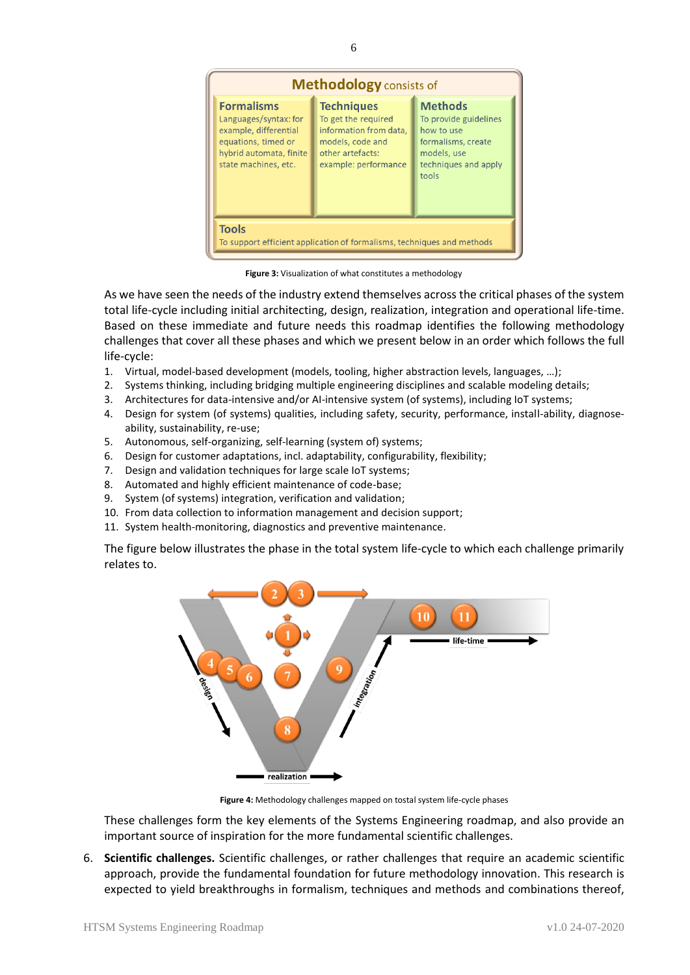

**Figure 3:** Visualization of what constitutes a methodology

As we have seen the needs of the industry extend themselves across the critical phases of the system total life-cycle including initial architecting, design, realization, integration and operational life-time. Based on these immediate and future needs this roadmap identifies the following methodology challenges that cover all these phases and which we present below in an order which follows the full life-cycle:

- 1. Virtual, model-based development (models, tooling, higher abstraction levels, languages, …);
- 2. Systems thinking, including bridging multiple engineering disciplines and scalable modeling details;
- 3. Architectures for data-intensive and/or AI-intensive system (of systems), including IoT systems;
- 4. Design for system (of systems) qualities, including safety, security, performance, install-ability, diagnoseability, sustainability, re-use;
- 5. Autonomous, self-organizing, self-learning (system of) systems;
- 6. Design for customer adaptations, incl. adaptability, configurability, flexibility;
- 7. Design and validation techniques for large scale IoT systems;
- 8. Automated and highly efficient maintenance of code-base;
- 9. System (of systems) integration, verification and validation;
- 10. From data collection to information management and decision support;
- 11. System health-monitoring, diagnostics and preventive maintenance.

The figure below illustrates the phase in the total system life-cycle to which each challenge primarily relates to.



**Figure 4:** Methodology challenges mapped on tostal system life-cycle phases

These challenges form the key elements of the Systems Engineering roadmap, and also provide an important source of inspiration for the more fundamental scientific challenges.

6. **Scientific challenges.** Scientific challenges, or rather challenges that require an academic scientific approach, provide the fundamental foundation for future methodology innovation. This research is expected to yield breakthroughs in formalism, techniques and methods and combinations thereof,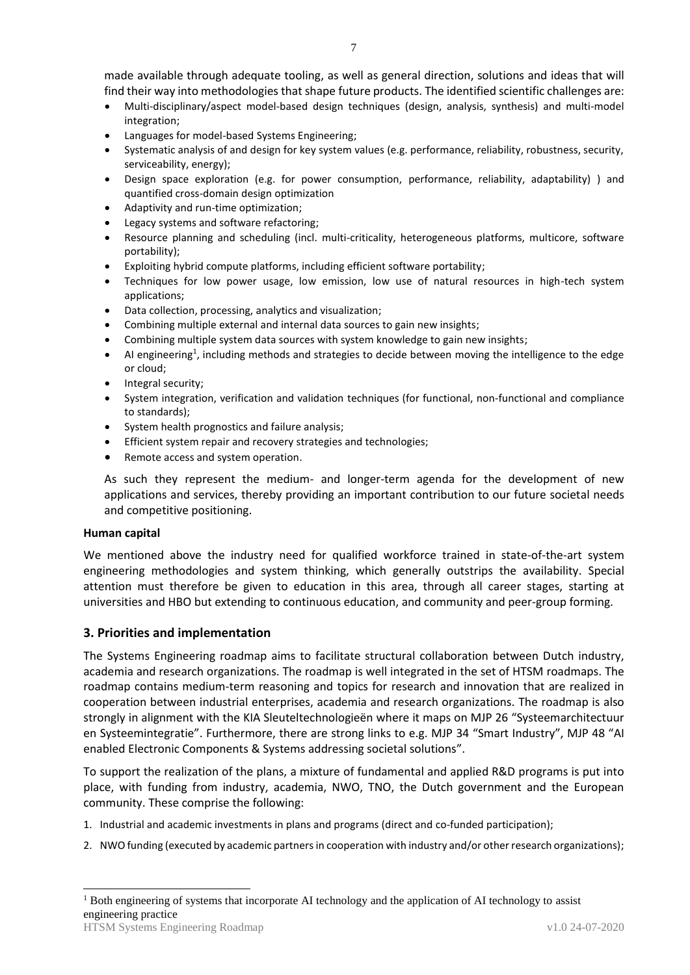made available through adequate tooling, as well as general direction, solutions and ideas that will find their way into methodologies that shape future products. The identified scientific challenges are:

- Multi-disciplinary/aspect model-based design techniques (design, analysis, synthesis) and multi-model integration;
- Languages for model-based Systems Engineering;
- Systematic analysis of and design for key system values (e.g. performance, reliability, robustness, security, serviceability, energy);
- Design space exploration (e.g. for power consumption, performance, reliability, adaptability) ) and quantified cross-domain design optimization
- Adaptivity and run-time optimization;
- Legacy systems and software refactoring;
- Resource planning and scheduling (incl. multi-criticality, heterogeneous platforms, multicore, software portability);
- Exploiting hybrid compute platforms, including efficient software portability;
- Techniques for low power usage, low emission, low use of natural resources in high-tech system applications;
- Data collection, processing, analytics and visualization;
- Combining multiple external and internal data sources to gain new insights;
- Combining multiple system data sources with system knowledge to gain new insights;
- $\bullet$  AI engineering<sup>1</sup>, including methods and strategies to decide between moving the intelligence to the edge or cloud;
- Integral security;
- System integration, verification and validation techniques (for functional, non-functional and compliance to standards);
- System health prognostics and failure analysis;
- Efficient system repair and recovery strategies and technologies;
- Remote access and system operation.

As such they represent the medium- and longer-term agenda for the development of new applications and services, thereby providing an important contribution to our future societal needs and competitive positioning.

### **Human capital**

-

We mentioned above the industry need for qualified workforce trained in state-of-the-art system engineering methodologies and system thinking, which generally outstrips the availability. Special attention must therefore be given to education in this area, through all career stages, starting at universities and HBO but extending to continuous education, and community and peer-group forming.

# **3. Priorities and implementation**

The Systems Engineering roadmap aims to facilitate structural collaboration between Dutch industry, academia and research organizations. The roadmap is well integrated in the set of HTSM roadmaps. The roadmap contains medium-term reasoning and topics for research and innovation that are realized in cooperation between industrial enterprises, academia and research organizations. The roadmap is also strongly in alignment with the KIA Sleuteltechnologieën where it maps on MJP 26 "Systeemarchitectuur en Systeemintegratie". Furthermore, there are strong links to e.g. MJP 34 "Smart Industry", MJP 48 "AI enabled Electronic Components & Systems addressing societal solutions".

To support the realization of the plans, a mixture of fundamental and applied R&D programs is put into place, with funding from industry, academia, NWO, TNO, the Dutch government and the European community. These comprise the following:

- 1. Industrial and academic investments in plans and programs (direct and co-funded participation);
- 2. NWO funding (executed by academic partnersin cooperation with industry and/or other research organizations);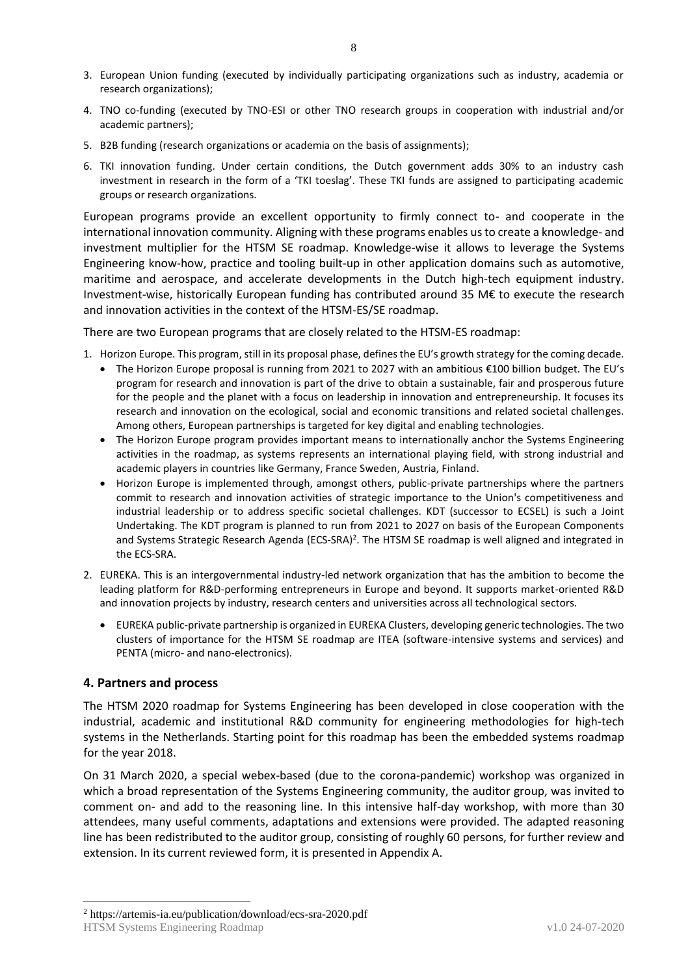- 3. European Union funding (executed by individually participating organizations such as industry, academia or research organizations);
- 4. TNO co-funding (executed by TNO-ESI or other TNO research groups in cooperation with industrial and/or academic partners);
- 5. B2B funding (research organizations or academia on the basis of assignments);
- 6. TKI innovation funding. Under certain conditions, the Dutch government adds 30% to an industry cash investment in research in the form of a 'TKI toeslag'. These TKI funds are assigned to participating academic groups or research organizations.

European programs provide an excellent opportunity to firmly connect to- and cooperate in the international innovation community. Aligning with these programs enables us to create a knowledge- and investment multiplier for the HTSM SE roadmap. Knowledge-wise it allows to leverage the Systems Engineering know-how, practice and tooling built-up in other application domains such as automotive, maritime and aerospace, and accelerate developments in the Dutch high-tech equipment industry. Investment-wise, historically European funding has contributed around 35 M€ to execute the research and innovation activities in the context of the HTSM-ES/SE roadmap.

There are two European programs that are closely related to the HTSM-ES roadmap:

- 1. Horizon Europe. This program, still in its proposal phase, defines the EU's growth strategy for the coming decade.
	- The Horizon Europe proposal is running from 2021 to 2027 with an ambitious €100 billion budget. The EU's program for research and innovation is part of the drive to obtain a sustainable, fair and prosperous future for the people and the planet with a focus on leadership in innovation and entrepreneurship. It focuses its research and innovation on the ecological, social and economic transitions and related societal challenges. Among others, European partnerships is targeted for key digital and enabling technologies.
	- The Horizon Europe program provides important means to internationally anchor the Systems Engineering activities in the roadmap, as systems represents an international playing field, with strong industrial and academic players in countries like Germany, France Sweden, Austria, Finland.
	- Horizon Europe is implemented through, amongst others, public-private partnerships where the partners commit to research and innovation activities of strategic importance to the Union's competitiveness and industrial leadership or to address specific societal challenges. KDT (successor to ECSEL) is such a Joint Undertaking. The KDT program is planned to run from 2021 to 2027 on basis of the European Components and Systems Strategic Research Agenda (ECS-SRA)<sup>2</sup>. The HTSM SE roadmap is well aligned and integrated in the ECS-SRA.
- 2. EUREKA. This is an intergovernmental industry-led network organization that has the ambition to become the leading platform for R&D-performing entrepreneurs in Europe and beyond. It supports market-oriented R&D and innovation projects by industry, research centers and universities across all technological sectors.
	- EUREKA public-private partnership is organized in EUREKA Clusters, developing generic technologies. The two clusters of importance for the HTSM SE roadmap are ITEA (software-intensive systems and services) and PENTA (micro- and nano-electronics).

# **4. Partners and process**

The HTSM 2020 roadmap for Systems Engineering has been developed in close cooperation with the industrial, academic and institutional R&D community for engineering methodologies for high-tech systems in the Netherlands. Starting point for this roadmap has been the embedded systems roadmap for the year 2018.

On 31 March 2020, a special webex-based (due to the corona-pandemic) workshop was organized in which a broad representation of the Systems Engineering community, the auditor group, was invited to comment on- and add to the reasoning line. In this intensive half-day workshop, with more than 30 attendees, many useful comments, adaptations and extensions were provided. The adapted reasoning line has been redistributed to the auditor group, consisting of roughly 60 persons, for further review and extension. In its current reviewed form, it is presented in Appendix A.

HTSM Systems Engineering Roadmap v1.0 24-07-2020 -<sup>2</sup> https://artemis-ia.eu/publication/download/ecs-sra-2020.pdf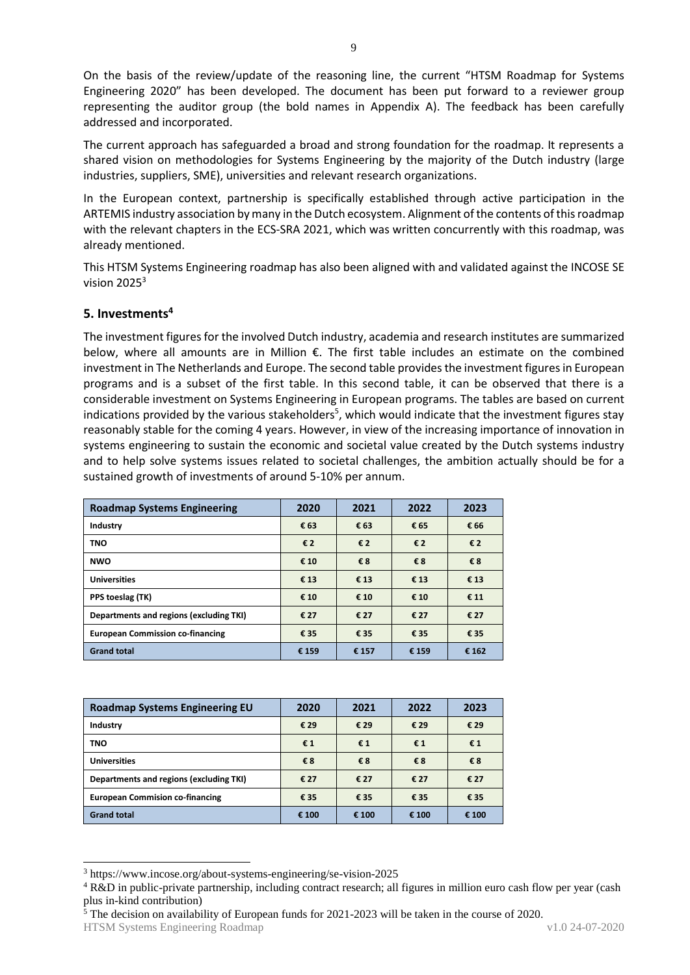On the basis of the review/update of the reasoning line, the current "HTSM Roadmap for Systems Engineering 2020" has been developed. The document has been put forward to a reviewer group representing the auditor group (the bold names in Appendix A). The feedback has been carefully addressed and incorporated.

The current approach has safeguarded a broad and strong foundation for the roadmap. It represents a shared vision on methodologies for Systems Engineering by the majority of the Dutch industry (large industries, suppliers, SME), universities and relevant research organizations.

In the European context, partnership is specifically established through active participation in the ARTEMIS industry association by many in the Dutch ecosystem. Alignment ofthe contents of this roadmap with the relevant chapters in the ECS-SRA 2021, which was written concurrently with this roadmap, was already mentioned.

This HTSM Systems Engineering roadmap has also been aligned with and validated against the INCOSE SE vision  $2025<sup>3</sup>$ 

# **5. Investments<sup>4</sup>**

The investment figures for the involved Dutch industry, academia and research institutes are summarized below, where all amounts are in Million €. The first table includes an estimate on the combined investment in The Netherlands and Europe. The second table provides the investment figures in European programs and is a subset of the first table. In this second table, it can be observed that there is a considerable investment on Systems Engineering in European programs. The tables are based on current indications provided by the various stakeholders<sup>5</sup>, which would indicate that the investment figures stay reasonably stable for the coming 4 years. However, in view of the increasing importance of innovation in systems engineering to sustain the economic and societal value created by the Dutch systems industry and to help solve systems issues related to societal challenges, the ambition actually should be for a sustained growth of investments of around 5-10% per annum.

| <b>Roadmap Systems Engineering</b>      | 2020  | 2021  | 2022  | 2023  |
|-----------------------------------------|-------|-------|-------|-------|
| Industry                                | € 63  | € 63  | € 65  | € 66  |
| <b>TNO</b>                              | €2    | €2    | €2    | €2    |
| <b>NWO</b>                              | € 10  | €8    | €8    | €8    |
| <b>Universities</b>                     | €13   | €13   | € 13  | € 13  |
| PPS toeslag (TK)                        | € 10  | € 10  | € 10  | € 11  |
| Departments and regions (excluding TKI) | € 27  | € 27  | € 27  | € 27  |
| <b>European Commission co-financing</b> | € 35  | € 35  | € 35  | € 35  |
| <b>Grand total</b>                      | € 159 | € 157 | € 159 | € 162 |

| <b>Roadmap Systems Engineering EU</b>   | 2020  | 2021  | 2022  | 2023  |
|-----------------------------------------|-------|-------|-------|-------|
| Industry                                | € 29  | € 29  | € 29  | € 29  |
| <b>TNO</b>                              | €1    | €1    | €1    | €1    |
| <b>Universities</b>                     | €8    | €8    | €8    | €8    |
| Departments and regions (excluding TKI) | € 27  | € 27  | € 27  | € 27  |
| <b>European Commision co-financing</b>  | € 35  | € 35  | € 35  | € 35  |
| <b>Grand total</b>                      | € 100 | € 100 | € 100 | € 100 |

<sup>-</sup><sup>3</sup> https://www.incose.org/about-systems-engineering/se-vision-2025

 $\frac{5}{3}$  The decision on availability of European funds for 2021-2023 will be taken in the course of 2020.

<sup>4</sup> R&D in public-private partnership, including contract research; all figures in million euro cash flow per year (cash plus in-kind contribution)